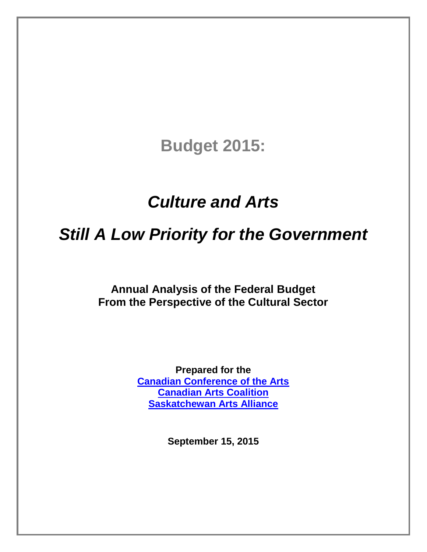# **Budget 2015:**

# *Culture and Arts*

# *Still A Low Priority for the Government*

**Annual Analysis of the Federal Budget From the Perspective of the Cultural Sector**

> **Prepared for the [Canadian Conference of the Arts](http://ccarts.ca/) [Canadian Arts Coalition](http://www.canadianartscoalition.com/) [Saskatchewan Arts Alliance](http://www.artsalliance.sk.ca/)**

> > **September 15, 2015**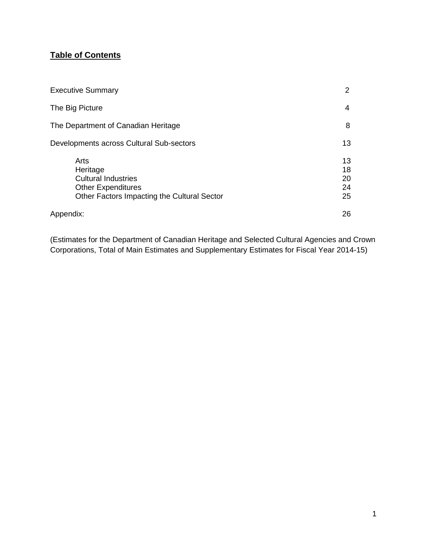### **Table of Contents**

| <b>Executive Summary</b>                                                                                                   | $\overline{2}$             |
|----------------------------------------------------------------------------------------------------------------------------|----------------------------|
| The Big Picture                                                                                                            | 4                          |
| The Department of Canadian Heritage                                                                                        | 8                          |
| Developments across Cultural Sub-sectors                                                                                   | 13                         |
| Arts<br>Heritage<br><b>Cultural Industries</b><br><b>Other Expenditures</b><br>Other Factors Impacting the Cultural Sector | 13<br>18<br>20<br>24<br>25 |
| Appendix:                                                                                                                  | 26                         |

(Estimates for the Department of Canadian Heritage and Selected Cultural Agencies and Crown Corporations, Total of Main Estimates and Supplementary Estimates for Fiscal Year 2014-15)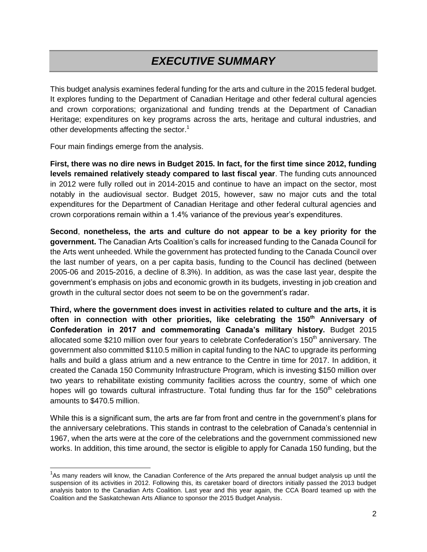# *EXECUTIVE SUMMARY*

This budget analysis examines federal funding for the arts and culture in the 2015 federal budget. It explores funding to the Department of Canadian Heritage and other federal cultural agencies and crown corporations; organizational and funding trends at the Department of Canadian Heritage; expenditures on key programs across the arts, heritage and cultural industries, and other developments affecting the sector.<sup>1</sup>

Four main findings emerge from the analysis.

**First, there was no dire news in Budget 2015. In fact, for the first time since 2012, funding levels remained relatively steady compared to last fiscal year**. The funding cuts announced in 2012 were fully rolled out in 2014-2015 and continue to have an impact on the sector, most notably in the audiovisual sector. Budget 2015, however, saw no major cuts and the total expenditures for the Department of Canadian Heritage and other federal cultural agencies and crown corporations remain within a 1.4% variance of the previous year's expenditures.

**Second**, **nonetheless, the arts and culture do not appear to be a key priority for the government.** The Canadian Arts Coalition's calls for increased funding to the Canada Council for the Arts went unheeded. While the government has protected funding to the Canada Council over the last number of years, on a per capita basis, funding to the Council has declined (between 2005-06 and 2015-2016, a decline of 8.3%). In addition, as was the case last year, despite the government's emphasis on jobs and economic growth in its budgets, investing in job creation and growth in the cultural sector does not seem to be on the government's radar.

**Third, where the government does invest in activities related to culture and the arts, it is often in connection with other priorities, like celebrating the 150th Anniversary of Confederation in 2017 and commemorating Canada's military history.** Budget 2015 allocated some \$210 million over four years to celebrate Confederation's 150<sup>th</sup> anniversary. The government also committed \$110.5 million in capital funding to the NAC to upgrade its performing halls and build a glass atrium and a new entrance to the Centre in time for 2017. In addition, it created the Canada 150 Community Infrastructure Program, which is investing \$150 million over two years to rehabilitate existing community facilities across the country, some of which one hopes will go towards cultural infrastructure. Total funding thus far for the 150<sup>th</sup> celebrations amounts to \$470.5 million.

While this is a significant sum, the arts are far from front and centre in the government's plans for the anniversary celebrations. This stands in contrast to the celebration of Canada's centennial in 1967, when the arts were at the core of the celebrations and the government commissioned new works. In addition, this time around, the sector is eligible to apply for Canada 150 funding, but the

<sup>&</sup>lt;sup>1</sup>As many readers will know, the Canadian Conference of the Arts prepared the annual budget analysis up until the suspension of its activities in 2012. Following this, its caretaker board of directors initially passed the 2013 budget analysis baton to the Canadian Arts Coalition. Last year and this year again, the CCA Board teamed up with the Coalition and the Saskatchewan Arts Alliance to sponsor the 2015 Budget Analysis.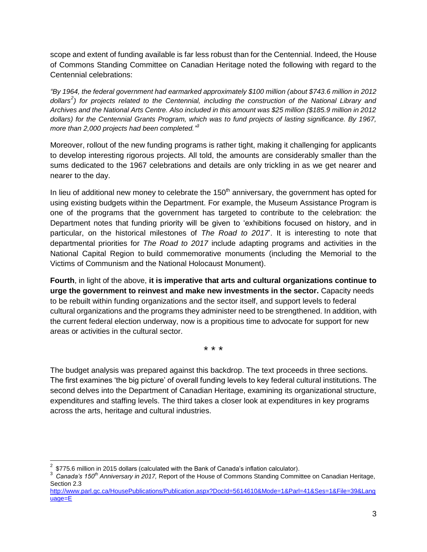scope and extent of funding available is far less robust than for the Centennial. Indeed, the House of Commons Standing Committee on Canadian Heritage noted the following with regard to the Centennial celebrations:

*"By 1964, the federal government had earmarked approximately \$100 million (about \$743.6 million in 2012 dollars<sup>2</sup> ) for projects related to the Centennial, including the construction of the National Library and Archives and the National Arts Centre. Also included in this amount was \$25 million (\$185.9 million in 2012 dollars) for the Centennial Grants Program, which was to fund projects of lasting significance. By 1967, more than 2,000 projects had been completed." 3*

Moreover, rollout of the new funding programs is rather tight, making it challenging for applicants to develop interesting rigorous projects. All told, the amounts are considerably smaller than the sums dedicated to the 1967 celebrations and details are only trickling in as we get nearer and nearer to the day.

In lieu of additional new money to celebrate the  $150<sup>th</sup>$  anniversary, the government has opted for using existing budgets within the Department. For example, the Museum Assistance Program is one of the programs that the government has targeted to contribute to the celebration: the Department notes that funding priority will be given to 'exhibitions focused on history, and in particular, on the historical milestones of *The Road to 2017*'. It is interesting to note that departmental priorities for *The Road to 2017* include adapting programs and activities in the National Capital Region to build commemorative monuments (including the Memorial to the Victims of Communism and the National Holocaust Monument).

**Fourth**, in light of the above, **it is imperative that arts and cultural organizations continue to urge the government to reinvest and make new investments in the sector.** Capacity needs to be rebuilt within funding organizations and the sector itself, and support levels to federal cultural organizations and the programs they administer need to be strengthened. In addition, with the current federal election underway, now is a propitious time to advocate for support for new areas or activities in the cultural sector.

\* \* \*

The budget analysis was prepared against this backdrop. The text proceeds in three sections. The first examines 'the big picture' of overall funding levels to key federal cultural institutions. The second delves into the Department of Canadian Heritage, examining its organizational structure, expenditures and staffing levels. The third takes a closer look at expenditures in key programs across the arts, heritage and cultural industries.

 2 \$775.6 million in 2015 dollars (calculated with the Bank of Canada's inflation calculator).

<sup>3</sup> *Canada's 150th Anniversary in 2017,* Report of the House of Commons Standing Committee on Canadian Heritage, Section 2.3

[http://www.parl.gc.ca/HousePublications/Publication.aspx?DocId=5614610&Mode=1&Parl=41&Ses=1&File=39&Lang](http://www.parl.gc.ca/HousePublications/Publication.aspx?DocId=5614610&Mode=1&Parl=41&Ses=1&File=39&Language=E) [uage=E](http://www.parl.gc.ca/HousePublications/Publication.aspx?DocId=5614610&Mode=1&Parl=41&Ses=1&File=39&Language=E)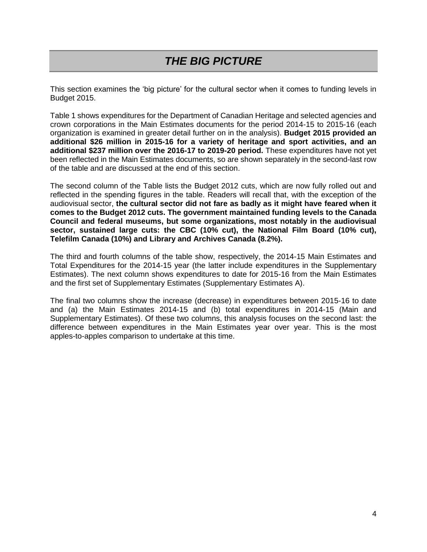# *THE BIG PICTURE*

This section examines the 'big picture' for the cultural sector when it comes to funding levels in Budget 2015.

Table 1 shows expenditures for the Department of Canadian Heritage and selected agencies and crown corporations in the Main Estimates documents for the period 2014-15 to 2015-16 (each organization is examined in greater detail further on in the analysis). **Budget 2015 provided an additional \$26 million in 2015-16 for a variety of heritage and sport activities, and an additional \$237 million over the 2016-17 to 2019-20 period.** These expenditures have not yet been reflected in the Main Estimates documents, so are shown separately in the second-last row of the table and are discussed at the end of this section.

The second column of the Table lists the Budget 2012 cuts, which are now fully rolled out and reflected in the spending figures in the table. Readers will recall that, with the exception of the audiovisual sector, **the cultural sector did not fare as badly as it might have feared when it comes to the Budget 2012 cuts. The government maintained funding levels to the Canada Council and federal museums, but some organizations, most notably in the audiovisual sector, sustained large cuts: the CBC (10% cut), the National Film Board (10% cut), Telefilm Canada (10%) and Library and Archives Canada (8.2%).**

The third and fourth columns of the table show, respectively, the 2014-15 Main Estimates and Total Expenditures for the 2014-15 year (the latter include expenditures in the Supplementary Estimates). The next column shows expenditures to date for 2015-16 from the Main Estimates and the first set of Supplementary Estimates (Supplementary Estimates A).

The final two columns show the increase (decrease) in expenditures between 2015-16 to date and (a) the Main Estimates 2014-15 and (b) total expenditures in 2014-15 (Main and Supplementary Estimates). Of these two columns, this analysis focuses on the second last: the difference between expenditures in the Main Estimates year over year. This is the most apples-to-apples comparison to undertake at this time.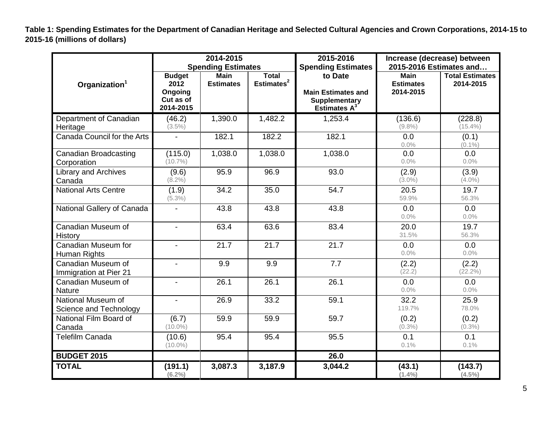**Table 1: Spending Estimates for the Department of Canadian Heritage and Selected Cultural Agencies and Crown Corporations, 2014-15 to 2015-16 (millions of dollars)**

|                                     |                                                          | 2014-2015                 |                                        | 2015-2016                 | Increase (decrease) between     |                                     |  |
|-------------------------------------|----------------------------------------------------------|---------------------------|----------------------------------------|---------------------------|---------------------------------|-------------------------------------|--|
|                                     |                                                          | <b>Spending Estimates</b> |                                        | <b>Spending Estimates</b> | 2015-2016 Estimates and         |                                     |  |
|                                     | <b>Budget</b><br><b>Main</b><br>2012<br><b>Estimates</b> |                           | <b>Total</b><br>Estimates <sup>2</sup> | to Date                   | <b>Main</b><br><b>Estimates</b> | <b>Total Estimates</b><br>2014-2015 |  |
| Organization <sup>1</sup>           | Ongoing                                                  |                           |                                        | <b>Main Estimates and</b> | 2014-2015                       |                                     |  |
|                                     | Cut as of                                                |                           |                                        | <b>Supplementary</b>      |                                 |                                     |  |
|                                     | 2014-2015                                                |                           |                                        | Estimates $A^3$           |                                 |                                     |  |
| Department of Canadian              | (46.2)                                                   | 1,390.0                   | 1,482.2                                | 1,253.4                   | (136.6)                         | (228.8)                             |  |
| Heritage                            | $(3.5\%)$                                                |                           |                                        |                           | $(9.8\%)$                       | $(15.4\%)$                          |  |
| Canada Council for the Arts         | $\blacksquare$                                           | 182.1                     | 182.2                                  | 182.1                     | 0.0                             | (0.1)                               |  |
|                                     |                                                          |                           |                                        |                           | 0.0%                            | $(0.1\%)$                           |  |
| <b>Canadian Broadcasting</b>        | (115.0)                                                  | 1,038.0                   | 1,038.0                                | 1,038.0                   | 0.0                             | 0.0                                 |  |
| Corporation                         | $(10.7\%)$                                               |                           |                                        |                           | 0.0%                            | 0.0%                                |  |
| <b>Library and Archives</b>         | (9.6)                                                    | 95.9                      | 96.9                                   | 93.0                      | (2.9)                           | (3.9)                               |  |
| Canada                              | $(8.2\%)$                                                |                           |                                        |                           | $(3.0\%)$                       | $(4.0\%)$                           |  |
| <b>National Arts Centre</b>         | (1.9)                                                    | 34.2                      | 35.0                                   | 54.7                      | 20.5                            | 19.7                                |  |
|                                     | $(5.3\%)$                                                |                           |                                        |                           | 59.9%                           | 56.3%                               |  |
| National Gallery of Canada          | $\overline{\phantom{0}}$                                 | 43.8                      | 43.8                                   | 43.8                      | 0.0                             | 0.0                                 |  |
|                                     |                                                          |                           |                                        |                           | 0.0%                            | 0.0%                                |  |
| Canadian Museum of                  | $\blacksquare$                                           | 63.4                      | 63.6                                   | 83.4                      | 20.0<br>31.5%                   | 19.7                                |  |
| History                             |                                                          |                           |                                        |                           |                                 | 56.3%                               |  |
| Canadian Museum for                 | $\overline{\phantom{a}}$                                 | 21.7                      | 21.7                                   | 21.7                      | 0.0<br>0.0%                     | 0.0<br>0.0%                         |  |
| Human Rights                        |                                                          |                           |                                        |                           |                                 |                                     |  |
| Canadian Museum of                  | $\blacksquare$                                           | 9.9                       | 9.9                                    | 7.7                       | (2.2)<br>(22.2)                 | (2.2)<br>$(22.2\%)$                 |  |
| Immigration at Pier 21              |                                                          | 26.1                      | 26.1                                   | 26.1                      |                                 |                                     |  |
| Canadian Museum of<br><b>Nature</b> | $\blacksquare$                                           |                           |                                        |                           | 0.0<br>0.0%                     | 0.0<br>0.0%                         |  |
| National Museum of                  | $\blacksquare$                                           | 26.9                      | 33.2                                   | 59.1                      | 32.2                            | 25.9                                |  |
| Science and Technology              |                                                          |                           |                                        |                           | 119.7%                          | 78.0%                               |  |
| National Film Board of              | (6.7)                                                    | 59.9                      | 59.9                                   | 59.7                      | (0.2)                           | (0.2)                               |  |
| Canada                              | $(10.0\%)$                                               |                           |                                        |                           | $(0.3\%)$                       | $(0.3\%)$                           |  |
| <b>Telefilm Canada</b>              | (10.6)                                                   | 95.4                      | 95.4                                   | 95.5                      | 0.1                             | 0.1                                 |  |
|                                     | $(10.0\%)$                                               |                           |                                        |                           | 0.1%                            | 0.1%                                |  |
| <b>BUDGET 2015</b>                  |                                                          |                           |                                        | 26.0                      |                                 |                                     |  |
| <b>TOTAL</b>                        | (191.1)<br>$(6.2\%)$                                     | 3,087.3                   | 3,187.9                                | 3,044.2                   | (43.1)<br>$(1.4\%)$             | (143.7)<br>$(4.5\%)$                |  |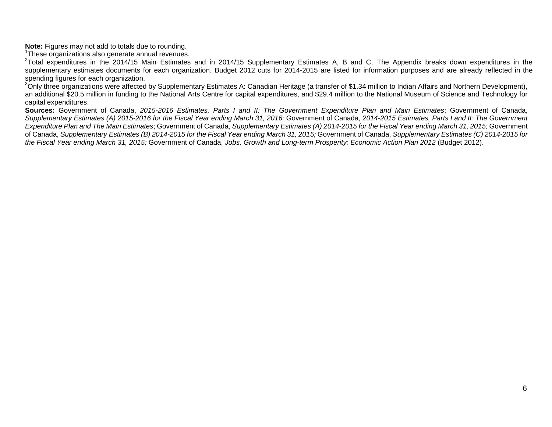**Note:** Figures may not add to totals due to rounding.

<sup>1</sup>These organizations also generate annual revenues.

<sup>2</sup>Total expenditures in the 2014/15 Main Estimates and in 2014/15 Supplementary Estimates A, B and C. The Appendix breaks down expenditures in the supplementary estimates documents for each organization. Budget 2012 cuts for 2014-2015 are listed for information purposes and are already reflected in the spending figures for each organization.

<sup>3</sup>Only three organizations were affected by Supplementary Estimates A: Canadian Heritage (a transfer of \$1.34 million to Indian Affairs and Northern Development), an additional \$20.5 million in funding to the National Arts Centre for capital expenditures, and \$29.4 million to the National Museum of Science and Technology for capital expenditures.

**Sources:** Government of Canada, *2015-2016 Estimates, Parts I and II: The Government Expenditure Plan and Main Estimates*; Government of Canada, *Supplementary Estimates (A) 2015-2016 for the Fiscal Year ending March 31, 2016;* Government of Canada, *2014-2015 Estimates, Parts I and II: The Government Expenditure Plan and The Main Estimates*; Government of Canada, *Supplementary Estimates (A) 2014-2015 for the Fiscal Year ending March 31, 2015;* Government of Canada, *Supplementary Estimates (B) 2014-2015 for the Fiscal Year ending March 31, 2015;* Government of Canada, *Supplementary Estimates (C) 2014-2015 for the Fiscal Year ending March 31, 2015;* Government of Canada, *Jobs, Growth and Long-term Prosperity: Economic Action Plan 2012* (Budget 2012).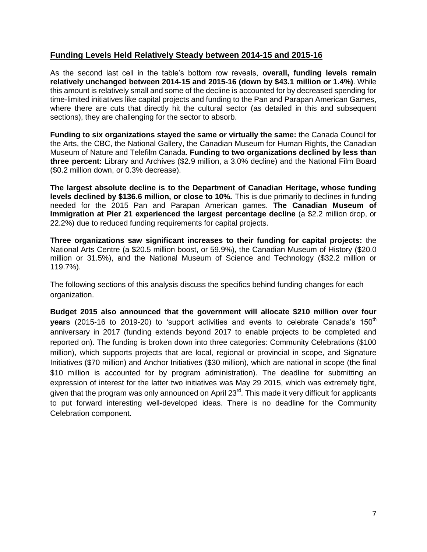#### **Funding Levels Held Relatively Steady between 2014-15 and 2015-16**

As the second last cell in the table's bottom row reveals, **overall, funding levels remain relatively unchanged between 2014-15 and 2015-16 (down by \$43.1 million or 1.4%)**. While this amount is relatively small and some of the decline is accounted for by decreased spending for time-limited initiatives like capital projects and funding to the Pan and Parapan American Games, where there are cuts that directly hit the cultural sector (as detailed in this and subsequent sections), they are challenging for the sector to absorb.

**Funding to six organizations stayed the same or virtually the same:** the Canada Council for the Arts, the CBC, the National Gallery, the Canadian Museum for Human Rights, the Canadian Museum of Nature and Telefilm Canada. **Funding to two organizations declined by less than three percent:** Library and Archives (\$2.9 million, a 3.0% decline) and the National Film Board (\$0.2 million down, or 0.3% decrease).

**The largest absolute decline is to the Department of Canadian Heritage, whose funding levels declined by \$136.6 million, or close to 10%.** This is due primarily to declines in funding needed for the 2015 Pan and Parapan American games. **The Canadian Museum of Immigration at Pier 21 experienced the largest percentage decline** (a \$2.2 million drop, or 22.2%) due to reduced funding requirements for capital projects.

**Three organizations saw significant increases to their funding for capital projects:** the National Arts Centre (a \$20.5 million boost, or 59.9%), the Canadian Museum of History (\$20.0 million or 31.5%), and the National Museum of Science and Technology (\$32.2 million or 119.7%).

The following sections of this analysis discuss the specifics behind funding changes for each organization.

**Budget 2015 also announced that the government will allocate \$210 million over four years** (2015-16 to 2019-20) to 'support activities and events to celebrate Canada's 150<sup>th</sup> anniversary in 2017 (funding extends beyond 2017 to enable projects to be completed and reported on). The funding is broken down into three categories: Community Celebrations (\$100 million), which supports projects that are local, regional or provincial in scope, and Signature Initiatives (\$70 million) and Anchor Initiatives (\$30 million), which are national in scope (the final \$10 million is accounted for by program administration). The deadline for submitting an expression of interest for the latter two initiatives was May 29 2015, which was extremely tight, given that the program was only announced on April 23<sup>rd</sup>. This made it very difficult for applicants to put forward interesting well-developed ideas. There is no deadline for the Community Celebration component.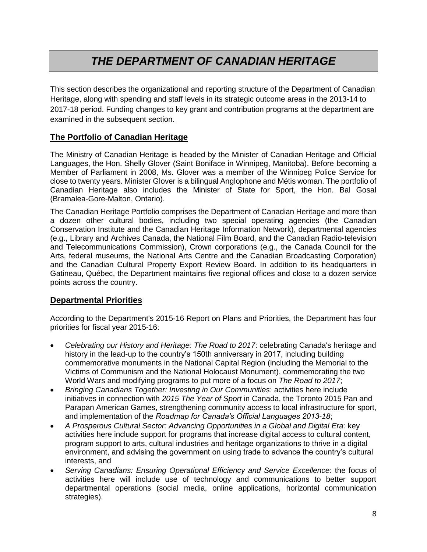# *THE DEPARTMENT OF CANADIAN HERITAGE*

This section describes the organizational and reporting structure of the Department of Canadian Heritage, along with spending and staff levels in its strategic outcome areas in the 2013-14 to 2017-18 period. Funding changes to key grant and contribution programs at the department are examined in the subsequent section.

#### **The Portfolio of Canadian Heritage**

The Ministry of Canadian Heritage is headed by the Minister of Canadian Heritage and Official Languages, the Hon. Shelly Glover (Saint Boniface in Winnipeg, Manitoba). Before becoming a Member of Parliament in 2008, Ms. Glover was a member of the Winnipeg Police Service for close to twenty years. Minister Glover is a bilingual Anglophone and Métis woman. The portfolio of Canadian Heritage also includes the Minister of State for Sport, the Hon. Bal Gosal (Bramalea-Gore-Malton, Ontario).

The Canadian Heritage Portfolio comprises the Department of Canadian Heritage and more than a dozen other cultural bodies, including two special operating agencies (the Canadian Conservation Institute and the Canadian Heritage Information Network), departmental agencies (e.g., Library and Archives Canada, the National Film Board, and the Canadian Radio-television and Telecommunications Commission), Crown corporations (e.g., the Canada Council for the Arts, federal museums, the National Arts Centre and the Canadian Broadcasting Corporation) and the Canadian Cultural Property Export Review Board. In addition to its headquarters in Gatineau, Québec, the Department maintains five regional offices and close to a dozen service points across the country.

#### **Departmental Priorities**

According to the Department's 2015-16 Report on Plans and Priorities, the Department has four priorities for fiscal year 2015-16:

- *Celebrating our History and Heritage: The Road to 2017*: celebrating Canada's heritage and history in the lead-up to the country's 150th anniversary in 2017, including building commemorative monuments in the National Capital Region (including the Memorial to the Victims of Communism and the National Holocaust Monument), commemorating the two World Wars and modifying programs to put more of a focus on *The Road to 2017*;
- *Bringing Canadians Together: Investing in Our Communities*: activities here include initiatives in connection with *2015 The Year of Sport* in Canada, the Toronto 2015 Pan and Parapan American Games, strengthening community access to local infrastructure for sport, and implementation of the *Roadmap for Canada's Official Languages 2013-18*;
- *A Prosperous Cultural Sector: Advancing Opportunities in a Global and Digital Era:* key activities here include support for programs that increase digital access to cultural content, program support to arts, cultural industries and heritage organizations to thrive in a digital environment, and advising the government on using trade to advance the country's cultural interests, and
- *Serving Canadians: Ensuring Operational Efficiency and Service Excellence*: the focus of activities here will include use of technology and communications to better support departmental operations (social media, online applications, horizontal communication strategies).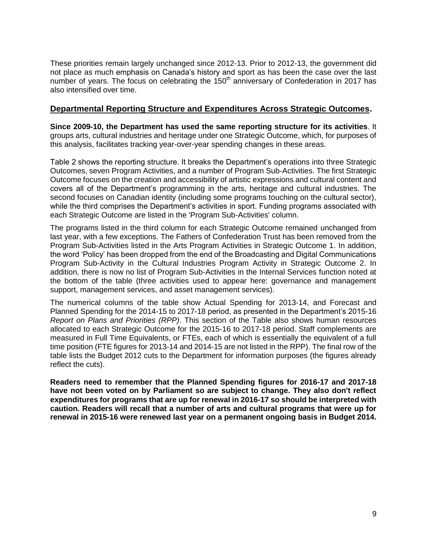These priorities remain largely unchanged since 2012-13. Prior to 2012-13, the government did not place as much emphasis on Canada's history and sport as has been the case over the last number of years. The focus on celebrating the  $150<sup>th</sup>$  anniversary of Confederation in 2017 has also intensified over time.

#### **Departmental Reporting Structure and Expenditures Across Strategic Outcomes.**

**Since 2009-10, the Department has used the same reporting structure for its activities**. It groups arts, cultural industries and heritage under one Strategic Outcome, which, for purposes of this analysis, facilitates tracking year-over-year spending changes in these areas.

Table 2 shows the reporting structure. It breaks the Department's operations into three Strategic Outcomes, seven Program Activities, and a number of Program Sub-Activities. The first Strategic Outcome focuses on the creation and accessibility of artistic expressions and cultural content and covers all of the Department's programming in the arts, heritage and cultural industries. The second focuses on Canadian identity (including some programs touching on the cultural sector), while the third comprises the Department's activities in sport. Funding programs associated with each Strategic Outcome are listed in the 'Program Sub-Activities' column.

The programs listed in the third column for each Strategic Outcome remained unchanged from last year, with a few exceptions. The Fathers of Confederation Trust has been removed from the Program Sub-Activities listed in the Arts Program Activities in Strategic Outcome 1. In addition, the word 'Policy' has been dropped from the end of the Broadcasting and Digital Communications Program Sub-Activity in the Cultural Industries Program Activity in Strategic Outcome 2. In addition, there is now no list of Program Sub-Activities in the Internal Services function noted at the bottom of the table (three activities used to appear here: governance and management support, management services, and asset management services).

The numerical columns of the table show Actual Spending for 2013-14, and Forecast and Planned Spending for the 2014-15 to 2017-18 period, as presented in the Department's 2015-16 *Report on Plans and Priorities (RPP)*. This section of the Table also shows human resources allocated to each Strategic Outcome for the 2015-16 to 2017-18 period. Staff complements are measured in Full Time Equivalents, or FTEs, each of which is essentially the equivalent of a full time position (FTE figures for 2013-14 and 2014-15 are not listed in the RPP). The final row of the table lists the Budget 2012 cuts to the Department for information purposes (the figures already reflect the cuts).

**Readers need to remember that the Planned Spending figures for 2016-17 and 2017-18 have not been voted on by Parliament so are subject to change. They also don't reflect expenditures for programs that are up for renewal in 2016-17 so should be interpreted with caution. Readers will recall that a number of arts and cultural programs that were up for renewal in 2015-16 were renewed last year on a permanent ongoing basis in Budget 2014.**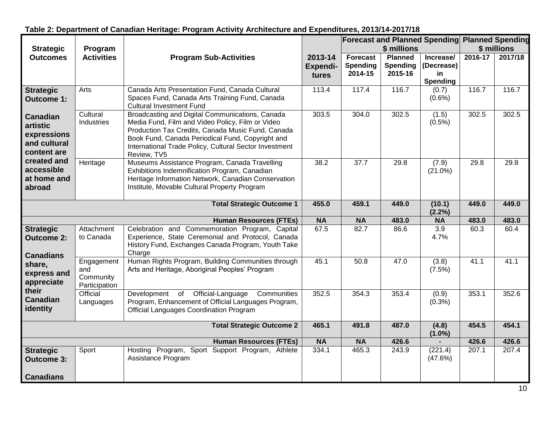|                                                                           |                                                                                                                                                         |                                                                                                                                                                                                                                                                                       |                                     |                                               |                                       | <b>Forecast and Planned Spending Planned Spending</b> |         |         |
|---------------------------------------------------------------------------|---------------------------------------------------------------------------------------------------------------------------------------------------------|---------------------------------------------------------------------------------------------------------------------------------------------------------------------------------------------------------------------------------------------------------------------------------------|-------------------------------------|-----------------------------------------------|---------------------------------------|-------------------------------------------------------|---------|---------|
| <b>Strategic</b>                                                          | Program                                                                                                                                                 |                                                                                                                                                                                                                                                                                       |                                     |                                               | \$ millions                           | \$ millions                                           |         |         |
| <b>Outcomes</b>                                                           | <b>Activities</b>                                                                                                                                       | <b>Program Sub-Activities</b>                                                                                                                                                                                                                                                         | 2013-14<br><b>Expendi-</b><br>tures | <b>Forecast</b><br><b>Spending</b><br>2014-15 | <b>Planned</b><br>Spending<br>2015-16 | Increase/<br>(Decrease)<br>in<br><b>Spending</b>      | 2016-17 | 2017/18 |
| <b>Strategic</b><br><b>Outcome 1:</b>                                     | Arts                                                                                                                                                    | Canada Arts Presentation Fund, Canada Cultural<br>Spaces Fund, Canada Arts Training Fund, Canada<br><b>Cultural Investment Fund</b>                                                                                                                                                   | 113.4                               | 117.4                                         | 116.7                                 | (0.7)<br>$(0.6\%)$                                    | 116.7   | 116.7   |
| <b>Canadian</b><br>artistic<br>expressions<br>and cultural<br>content are | Cultural<br>Industries                                                                                                                                  | Broadcasting and Digital Communications, Canada<br>Media Fund, Film and Video Policy, Film or Video<br>Production Tax Credits, Canada Music Fund, Canada<br>Book Fund, Canada Periodical Fund, Copyright and<br>International Trade Policy, Cultural Sector Investment<br>Review, TV5 | 303.5                               | 304.0                                         | 302.5                                 | (1.5)<br>$(0.5\%)$                                    | 302.5   | 302.5   |
| created and<br>accessible<br>at home and<br>abroad                        | Heritage                                                                                                                                                | Museums Assistance Program, Canada Travelling<br>Exhibitions Indemnification Program, Canadian<br>Heritage Information Network, Canadian Conservation<br>Institute, Movable Cultural Property Program                                                                                 | 38.2                                | 37.7                                          | 29.8                                  | (7.9)<br>$(21.0\%)$                                   | 29.8    | 29.8    |
|                                                                           |                                                                                                                                                         | <b>Total Strategic Outcome 1</b>                                                                                                                                                                                                                                                      | 455.0                               | 459.1                                         | 449.0                                 | (10.1)<br>(2.2%)                                      | 449.0   | 449.0   |
|                                                                           |                                                                                                                                                         | <b>Human Resources (FTEs)</b>                                                                                                                                                                                                                                                         | <b>NA</b>                           | <b>NA</b>                                     | 483.0                                 | <b>NA</b>                                             | 483.0   | 483.0   |
| <b>Strategic</b><br><b>Outcome 2:</b><br><b>Canadians</b>                 | Attachment<br>to Canada                                                                                                                                 | Celebration and Commemoration Program, Capital<br>Experience, State Ceremonial and Protocol, Canada<br>History Fund, Exchanges Canada Program, Youth Take<br>Charge                                                                                                                   | 67.5                                | 82.7                                          | 86.6                                  | 3.9<br>4.7%                                           | 60.3    | 60.4    |
| share,<br>express and<br>appreciate                                       | Engagement<br>and<br>Community<br>Participation                                                                                                         | Human Rights Program, Building Communities through<br>Arts and Heritage, Aboriginal Peoples' Program                                                                                                                                                                                  | 45.1                                | 50.8                                          | 47.0                                  | (3.8)<br>(7.5%)                                       | 41.1    | 41.1    |
| their<br><b>Canadian</b><br>identity                                      | Official-Language<br>Development<br>of<br>Communities<br>Program, Enhancement of Official Languages Program,<br>Official Languages Coordination Program | 352.5                                                                                                                                                                                                                                                                                 | 354.3                               | 353.4                                         | (0.9)<br>$(0.3\%)$                    | 353.1                                                 | 352.6   |         |
|                                                                           |                                                                                                                                                         | <b>Total Strategic Outcome 2</b>                                                                                                                                                                                                                                                      | 465.1                               | 491.8                                         | 487.0                                 | (4.8)<br>$(1.0\%)$                                    | 454.5   | 454.1   |
|                                                                           |                                                                                                                                                         | <b>Human Resources (FTEs)</b>                                                                                                                                                                                                                                                         | <b>NA</b>                           | <b>NA</b>                                     | 426.6                                 |                                                       | 426.6   | 426.6   |
| <b>Strategic</b><br><b>Outcome 3:</b>                                     | Sport                                                                                                                                                   | Hosting Program, Sport Support Program, Athlete<br>Assistance Program                                                                                                                                                                                                                 | 334.1                               | 465.3                                         | 243.9                                 | (221.4)<br>(47.6%)                                    | 207.1   | 207.4   |
| <b>Canadians</b>                                                          |                                                                                                                                                         |                                                                                                                                                                                                                                                                                       |                                     |                                               |                                       |                                                       |         |         |

### **Table 2: Department of Canadian Heritage: Program Activity Architecture and Expenditures, 2013/14-2017/18**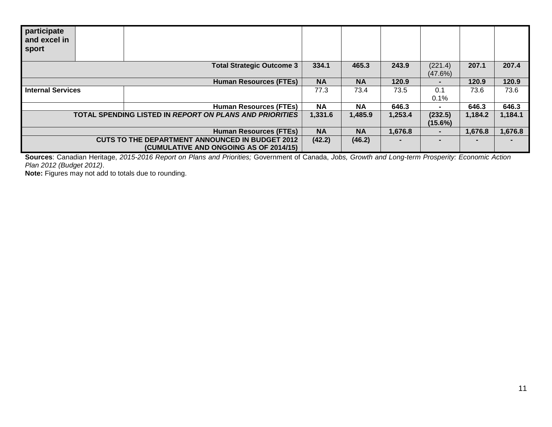| participate<br>and excel in<br>sport |                                                         |           |           |         |                |         |         |
|--------------------------------------|---------------------------------------------------------|-----------|-----------|---------|----------------|---------|---------|
|                                      | <b>Total Strategic Outcome 3</b>                        | 334.1     | 465.3     | 243.9   | (221.4)        | 207.1   | 207.4   |
|                                      |                                                         |           |           |         | (47.6%)        |         |         |
|                                      | <b>Human Resources (FTEs)</b>                           | <b>NA</b> | <b>NA</b> | 120.9   | $\blacksquare$ | 120.9   | 120.9   |
| <b>Internal Services</b>             |                                                         | 77.3      | 73.4      | 73.5    | 0.1            | 73.6    | 73.6    |
|                                      |                                                         |           |           |         | 0.1%           |         |         |
|                                      | <b>Human Resources (FTEs)</b>                           | <b>NA</b> | <b>NA</b> | 646.3   | $\blacksquare$ | 646.3   | 646.3   |
|                                      | TOTAL SPENDING LISTED IN REPORT ON PLANS AND PRIORITIES | 1,331.6   | 1,485.9   | 1,253.4 | (232.5)        | 1,184.2 | 1,184.1 |
|                                      |                                                         |           |           |         | $(15.6\%)$     |         |         |
|                                      | <b>Human Resources (FTEs)</b>                           | <b>NA</b> | <b>NA</b> | 1,676.8 | $\blacksquare$ | 1,676.8 | 1,676.8 |
|                                      | <b>CUTS TO THE DEPARTMENT ANNOUNCED IN BUDGET 2012</b>  | (42.2)    | (46.2)    |         |                |         |         |
|                                      | (CUMULATIVE AND ONGOING AS OF 2014/15)                  |           |           |         |                |         |         |

**Sources**: Canadian Heritage, *2015-2016 Report on Plans and Priorities;* Government of Canada, *Jobs, Growth and Long-term Prosperity: Economic Action Plan 2012 (Budget 2012)*.

**Note:** Figures may not add to totals due to rounding.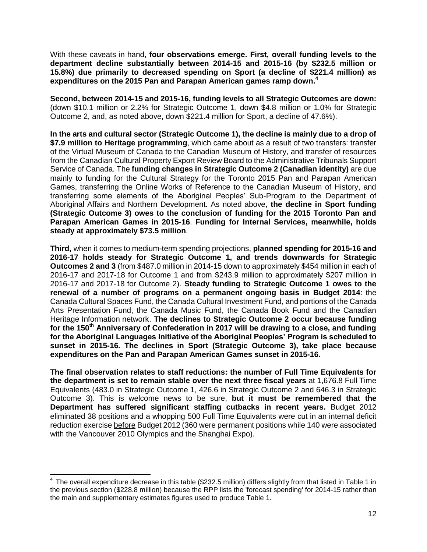With these caveats in hand, **four observations emerge. First, overall funding levels to the department decline substantially between 2014-15 and 2015-16 (by \$232.5 million or 15.8%) due primarily to decreased spending on Sport (a decline of \$221.4 million) as expenditures on the 2015 Pan and Parapan American games ramp down. 4**

**Second, between 2014-15 and 2015-16, funding levels to all Strategic Outcomes are down:**  (down \$10.1 million or 2.2% for Strategic Outcome 1, down \$4.8 million or 1.0% for Strategic Outcome 2, and, as noted above, down \$221.4 million for Sport, a decline of 47.6%).

**In the arts and cultural sector (Strategic Outcome 1), the decline is mainly due to a drop of \$7.9 million to Heritage programming**, which came about as a result of two transfers: transfer of the Virtual Museum of Canada to the Canadian Museum of History, and transfer of resources from the Canadian Cultural Property Export Review Board to the Administrative Tribunals Support Service of Canada. The **funding changes in Strategic Outcome 2 (Canadian identity)** are due mainly to funding for the Cultural Strategy for the Toronto 2015 Pan and Parapan American Games, transferring the Online Works of Reference to the Canadian Museum of History, and transferring some elements of the Aboriginal Peoples' Sub-Program to the Department of Aboriginal Affairs and Northern Development. As noted above, **the decline in Sport funding (Strategic Outcome 3) owes to the conclusion of funding for the 2015 Toronto Pan and Parapan American Games in 2015-16**. **Funding for Internal Services, meanwhile, holds steady at approximately \$73.5 million**.

**Third,** when it comes to medium-term spending projections, **planned spending for 2015-16 and 2016-17 holds steady for Strategic Outcome 1, and trends downwards for Strategic Outcomes 2 and 3** (from \$487.0 million in 2014-15 down to approximately \$454 million in each of 2016-17 and 2017-18 for Outcome 1 and from \$243.9 million to approximately \$207 million in 2016-17 and 2017-18 for Outcome 2). **Steady funding to Strategic Outcome 1 owes to the renewal of a number of programs on a permanent ongoing basis in Budget 2014**: the Canada Cultural Spaces Fund, the Canada Cultural Investment Fund, and portions of the Canada Arts Presentation Fund, the Canada Music Fund, the Canada Book Fund and the Canadian Heritage Information network. **The declines to Strategic Outcome 2 occur because funding for the 150th Anniversary of Confederation in 2017 will be drawing to a close, and funding for the Aboriginal Languages Initiative of the Aboriginal Peoples' Program is scheduled to sunset in 2015-16. The declines in Sport (Strategic Outcome 3), take place because expenditures on the Pan and Parapan American Games sunset in 2015-16.**

**The final observation relates to staff reductions: the number of Full Time Equivalents for the department is set to remain stable over the next three fiscal years** at 1,676.8 Full Time Equivalents (483.0 in Strategic Outcome 1, 426.6 in Strategic Outcome 2 and 646.3 in Strategic Outcome 3). This is welcome news to be sure, **but it must be remembered that the Department has suffered significant staffing cutbacks in recent years.** Budget 2012 eliminated 38 positions and a whopping 500 Full Time Equivalents were cut in an internal deficit reduction exercise before Budget 2012 (360 were permanent positions while 140 were associated with the Vancouver 2010 Olympics and the Shanghai Expo).

 $\overline{a}$ 

 $4$  The overall expenditure decrease in this table (\$232.5 million) differs slightly from that listed in Table 1 in the previous section (\$228.8 million) because the RPP lists the 'forecast spending' for 2014-15 rather than the main and supplementary estimates figures used to produce Table 1.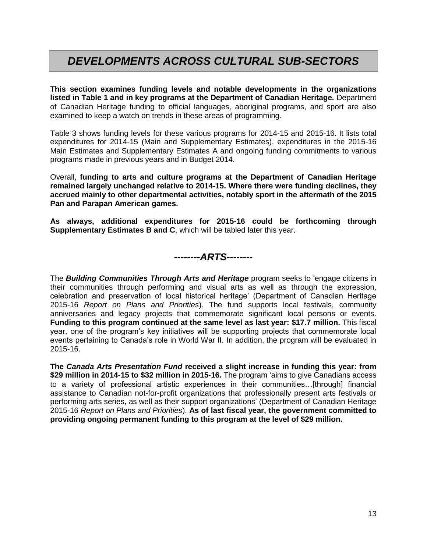## *DEVELOPMENTS ACROSS CULTURAL SUB-SECTORS*

**This section examines funding levels and notable developments in the organizations listed in Table 1 and in key programs at the Department of Canadian Heritage.** Department of Canadian Heritage funding to official languages, aboriginal programs, and sport are also examined to keep a watch on trends in these areas of programming.

Table 3 shows funding levels for these various programs for 2014-15 and 2015-16. It lists total expenditures for 2014-15 (Main and Supplementary Estimates), expenditures in the 2015-16 Main Estimates and Supplementary Estimates A and ongoing funding commitments to various programs made in previous years and in Budget 2014.

Overall, **funding to arts and culture programs at the Department of Canadian Heritage remained largely unchanged relative to 2014-15. Where there were funding declines, they accrued mainly to other departmental activities, notably sport in the aftermath of the 2015 Pan and Parapan American games.** 

**As always, additional expenditures for 2015-16 could be forthcoming through Supplementary Estimates B and C**, which will be tabled later this year.

*--------ARTS--------*

The *Building Communities Through Arts and Heritage* program seeks to 'engage citizens in their communities through performing and visual arts as well as through the expression, celebration and preservation of local historical heritage' (Department of Canadian Heritage 2015-16 *Report on Plans and Priorities*). The fund supports local festivals, community anniversaries and legacy projects that commemorate significant local persons or events. **Funding to this program continued at the same level as last year: \$17.7 million.** This fiscal year, one of the program's key initiatives will be supporting projects that commemorate local events pertaining to Canada's role in World War II. In addition, the program will be evaluated in 2015-16.

**The** *Canada Arts Presentation Fund* **received a slight increase in funding this year: from \$29 million in 2014-15 to \$32 million in 2015-16.** The program 'aims to give Canadians access to a variety of professional artistic experiences in their communities…[through] financial assistance to Canadian not-for-profit organizations that professionally present arts festivals or performing arts series, as well as their support organizations' (Department of Canadian Heritage 2015-16 *Report on Plans and Priorities*). **As of last fiscal year, the government committed to providing ongoing permanent funding to this program at the level of \$29 million.**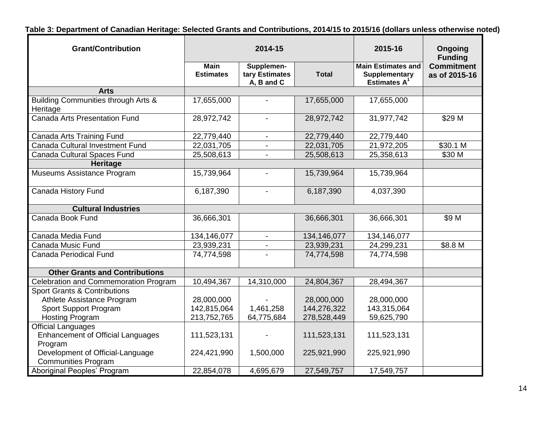**Table 3: Department of Canadian Heritage: Selected Grants and Contributions, 2014/15 to 2015/16 (dollars unless otherwise noted)**

| <b>Grant/Contribution</b>                                                 |                                                                                               | 2014-15        | 2015-16                                                              | Ongoing<br><b>Funding</b>          |                    |
|---------------------------------------------------------------------------|-----------------------------------------------------------------------------------------------|----------------|----------------------------------------------------------------------|------------------------------------|--------------------|
|                                                                           | <b>Main</b><br>Supplemen-<br><b>Estimates</b><br>tary Estimates<br><b>Total</b><br>A, B and C |                | <b>Main Estimates and</b><br><b>Supplementary</b><br>Estimates $A^1$ | <b>Commitment</b><br>as of 2015-16 |                    |
| <b>Arts</b>                                                               |                                                                                               |                |                                                                      |                                    |                    |
| Building Communities through Arts &<br>Heritage                           | 17,655,000                                                                                    |                | 17,655,000                                                           | 17,655,000                         |                    |
| <b>Canada Arts Presentation Fund</b>                                      | 28,972,742                                                                                    | $\blacksquare$ | 28,972,742                                                           | 31,977,742                         | \$29 M             |
| Canada Arts Training Fund                                                 | 22,779,440                                                                                    | $\blacksquare$ | 22,779,440                                                           | 22,779,440                         |                    |
| Canada Cultural Investment Fund                                           | 22,031,705                                                                                    |                | 22,031,705                                                           | 21,972,205                         | \$30.1 M           |
| Canada Cultural Spaces Fund                                               | 25,508,613                                                                                    |                | 25,508,613                                                           | 25,358,613                         | \$30 M             |
| Heritage                                                                  |                                                                                               |                |                                                                      |                                    |                    |
| Museums Assistance Program                                                | 15,739,964                                                                                    |                | 15,739,964                                                           | 15,739,964                         |                    |
| Canada History Fund                                                       | 6,187,390                                                                                     |                | 6,187,390                                                            | 4,037,390                          |                    |
| <b>Cultural Industries</b>                                                |                                                                                               |                |                                                                      |                                    |                    |
| Canada Book Fund                                                          | 36,666,301                                                                                    |                | 36,666,301                                                           | 36,666,301                         | \$9 M              |
| Canada Media Fund                                                         | 134,146,077                                                                                   | $\blacksquare$ | 134,146,077                                                          | 134,146,077                        |                    |
| <b>Canada Music Fund</b>                                                  | 23,939,231                                                                                    |                | 23,939,231                                                           | 24,299,231                         | \$8.8 <sub>M</sub> |
| <b>Canada Periodical Fund</b>                                             | 74,774,598                                                                                    |                | 74,774,598                                                           | 74,774,598                         |                    |
| <b>Other Grants and Contributions</b>                                     |                                                                                               |                |                                                                      |                                    |                    |
| Celebration and Commemoration Program                                     | 10,494,367                                                                                    | 14,310,000     | 24,804,367                                                           | 28,494,367                         |                    |
| <b>Sport Grants &amp; Contributions</b>                                   |                                                                                               |                |                                                                      |                                    |                    |
| Athlete Assistance Program                                                | 28,000,000                                                                                    |                | 28,000,000                                                           | 28,000,000                         |                    |
| Sport Support Program                                                     | 142,815,064                                                                                   | 1,461,258      | 144,276,322                                                          | 143,315,064                        |                    |
| <b>Hosting Program</b>                                                    | 213,752,765                                                                                   | 64,775,684     | 278,528,449                                                          | 59,625,790                         |                    |
| <b>Official Languages</b><br>Enhancement of Official Languages<br>Program | 111,523,131                                                                                   |                | 111,523,131                                                          | 111,523,131                        |                    |
| Development of Official-Language<br><b>Communities Program</b>            | 224,421,990                                                                                   | 1,500,000      | 225,921,990                                                          | 225,921,990                        |                    |
| Aboriginal Peoples' Program                                               | 22,854,078                                                                                    | 4,695,679      | 27,549,757                                                           | 17,549,757                         |                    |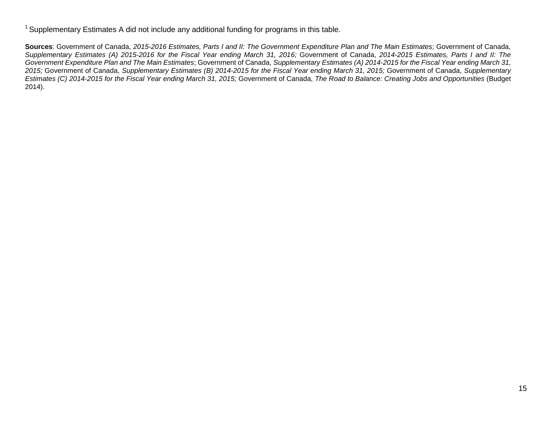<sup>1</sup> Supplementary Estimates A did not include any additional funding for programs in this table.

**Sources**: Government of Canada, *2015-2016 Estimates, Parts I and II: The Government Expenditure Plan and The Main Estimates*; Government of Canada, *Supplementary Estimates (A) 2015-2016 for the Fiscal Year ending March 31, 2016;* Government of Canada, *2014-2015 Estimates, Parts I and II: The Government Expenditure Plan and The Main Estimates*; Government of Canada, *Supplementary Estimates (A) 2014-2015 for the Fiscal Year ending March 31, 2015;* Government of Canada, *Supplementary Estimates (B) 2014-2015 for the Fiscal Year ending March 31, 2015;* Government of Canada, *Supplementary Estimates (C) 2014-2015 for the Fiscal Year ending March 31, 2015;* Government of Canada, *The Road to Balance: Creating Jobs and Opportunities* (Budget 2014).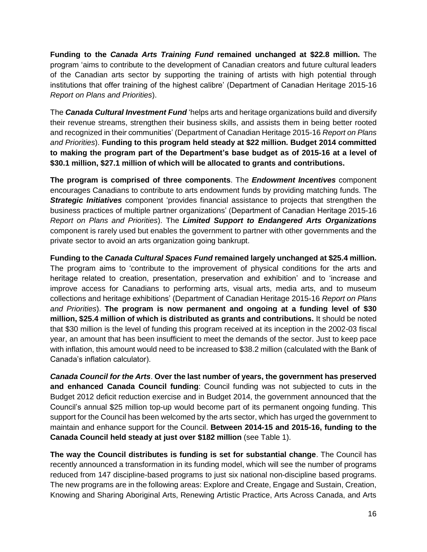**Funding to the** *Canada Arts Training Fund* **remained unchanged at \$22.8 million.** The program 'aims to contribute to the development of Canadian creators and future cultural leaders of the Canadian arts sector by supporting the training of artists with high potential through institutions that offer training of the highest calibre' (Department of Canadian Heritage 2015-16 *Report on Plans and Priorities*).

The *Canada Cultural Investment Fund* 'helps arts and heritage organizations build and diversify their revenue streams, strengthen their business skills, and assists them in being better rooted and recognized in their communities' (Department of Canadian Heritage 2015-16 *Report on Plans and Priorities*). **Funding to this program held steady at \$22 million. Budget 2014 committed to making the program part of the Department's base budget as of 2015-16 at a level of \$30.1 million, \$27.1 million of which will be allocated to grants and contributions.**

**The program is comprised of three components**. The *Endowment Incentives* component encourages Canadians to contribute to arts endowment funds by providing matching funds. The *Strategic Initiatives* component 'provides financial assistance to projects that strengthen the business practices of multiple partner organizations' (Department of Canadian Heritage 2015-16 *Report on Plans and Priorities*). The *Limited Support to Endangered Arts Organizations* component is rarely used but enables the government to partner with other governments and the private sector to avoid an arts organization going bankrupt.

**Funding to the** *Canada Cultural Spaces Fund* **remained largely unchanged at \$25.4 million.**  The program aims to 'contribute to the improvement of physical conditions for the arts and heritage related to creation, presentation, preservation and exhibition' and to 'increase and improve access for Canadians to performing arts, visual arts, media arts, and to museum collections and heritage exhibitions' (Department of Canadian Heritage 2015-16 *Report on Plans and Priorities*). **The program is now permanent and ongoing at a funding level of \$30 million, \$25.4 million of which is distributed as grants and contributions.** It should be noted that \$30 million is the level of funding this program received at its inception in the 2002-03 fiscal year, an amount that has been insufficient to meet the demands of the sector. Just to keep pace with inflation, this amount would need to be increased to \$38.2 million (calculated with the Bank of Canada's inflation calculator).

*Canada Council for the Arts*. **Over the last number of years, the government has preserved and enhanced Canada Council funding**: Council funding was not subjected to cuts in the Budget 2012 deficit reduction exercise and in Budget 2014, the government announced that the Council's annual \$25 million top-up would become part of its permanent ongoing funding. This support for the Council has been welcomed by the arts sector, which has urged the government to maintain and enhance support for the Council. **Between 2014-15 and 2015-16, funding to the Canada Council held steady at just over \$182 million** (see Table 1).

**The way the Council distributes is funding is set for substantial change**. The Council has recently announced a transformation in its funding model, which will see the number of programs reduced from 147 discipline-based programs to just six national non-discipline based programs. The new programs are in the following areas: Explore and Create, Engage and Sustain, Creation, Knowing and Sharing Aboriginal Arts, Renewing Artistic Practice, Arts Across Canada, and Arts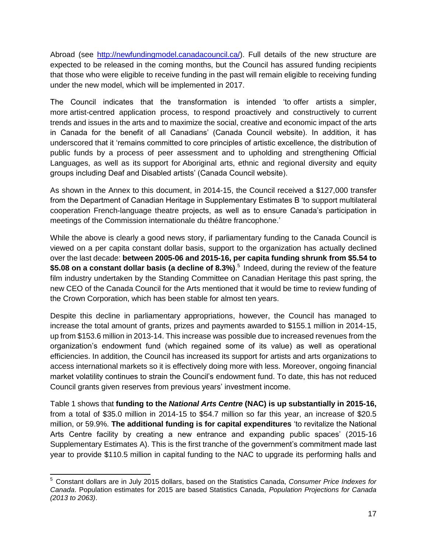Abroad (see [http://newfundingmodel.canadacouncil.ca/\)](http://newfundingmodel.canadacouncil.ca/). Full details of the new structure are expected to be released in the coming months, but the Council has assured funding recipients that those who were eligible to receive funding in the past will remain eligible to receiving funding under the new model, which will be implemented in 2017.

The Council indicates that the transformation is intended 'to offer artists a simpler, more artist-centred application process, to respond proactively and constructively to current trends and issues in the arts and to maximize the social, creative and economic impact of the arts in Canada for the benefit of all Canadians' (Canada Council website). In addition, it has underscored that it 'remains committed to core principles of artistic excellence, the distribution of public funds by a process of peer assessment and to upholding and strengthening Official Languages, as well as its support for Aboriginal arts, ethnic and regional diversity and equity groups including Deaf and Disabled artists' (Canada Council website).

As shown in the Annex to this document, in 2014-15, the Council received a \$127,000 transfer from the Department of Canadian Heritage in Supplementary Estimates B 'to support multilateral cooperation French-language theatre projects, as well as to ensure Canada's participation in meetings of the Commission internationale du théâtre francophone.'

While the above is clearly a good news story, if parliamentary funding to the Canada Council is viewed on a per capita constant dollar basis, support to the organization has actually declined over the last decade: **between 2005-06 and 2015-16, per capita funding shrunk from \$5.54 to \$5.08 on a constant dollar basis (a decline of 8.3%)**. 5 Indeed, during the review of the feature film industry undertaken by the Standing Committee on Canadian Heritage this past spring, the new CEO of the Canada Council for the Arts mentioned that it would be time to review funding of the Crown Corporation, which has been stable for almost ten years.

Despite this decline in parliamentary appropriations, however, the Council has managed to increase the total amount of grants, prizes and payments awarded to \$155.1 million in 2014-15, up from \$153.6 million in 2013-14. This increase was possible due to increased revenues from the organization's endowment fund (which regained some of its value) as well as operational efficiencies. In addition, the Council has increased its support for artists and arts organizations to access international markets so it is effectively doing more with less. Moreover, ongoing financial market volatility continues to strain the Council's endowment fund. To date, this has not reduced Council grants given reserves from previous years' investment income.

Table 1 shows that **funding to the** *National Arts Centre* **(NAC) is up substantially in 2015-16,**  from a total of \$35.0 million in 2014-15 to \$54.7 million so far this year, an increase of \$20.5 million, or 59.9%. **The additional funding is for capital expenditures** 'to revitalize the National Arts Centre facility by creating a new entrance and expanding public spaces' (2015-16 Supplementary Estimates A). This is the first tranche of the government's commitment made last year to provide \$110.5 million in capital funding to the NAC to upgrade its performing halls and

 $\overline{a}$ <sup>5</sup> Constant dollars are in July 2015 dollars, based on the Statistics Canada, *Consumer Price Indexes for Canada*. Population estimates for 2015 are based Statistics Canada, *Population Projections for Canada (2013 to 2063)*.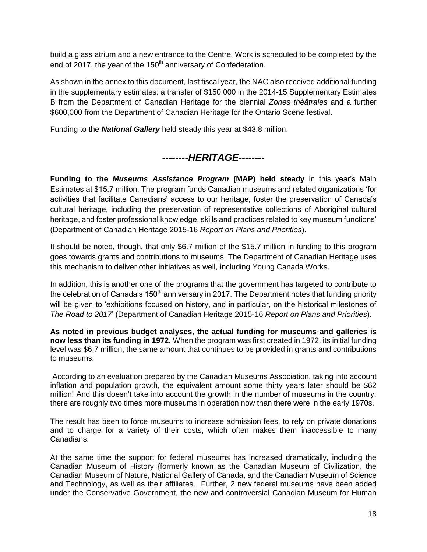build a glass atrium and a new entrance to the Centre. Work is scheduled to be completed by the end of 2017, the year of the 150<sup>th</sup> anniversary of Confederation.

As shown in the annex to this document, last fiscal year, the NAC also received additional funding in the supplementary estimates: a transfer of \$150,000 in the 2014-15 Supplementary Estimates B from the Department of Canadian Heritage for the biennial *Zones théâtrales* and a further \$600,000 from the Department of Canadian Heritage for the Ontario Scene festival.

Funding to the *National Gallery* held steady this year at \$43.8 million.

## *--------HERITAGE--------*

**Funding to the** *Museums Assistance Program* **(MAP) held steady** in this year's Main Estimates at \$15.7 million. The program funds Canadian museums and related organizations 'for activities that facilitate Canadians' access to our heritage, foster the preservation of Canada's cultural heritage, including the preservation of representative collections of Aboriginal cultural heritage, and foster professional knowledge, skills and practices related to key museum functions' (Department of Canadian Heritage 2015-16 *Report on Plans and Priorities*).

It should be noted, though, that only \$6.7 million of the \$15.7 million in funding to this program goes towards grants and contributions to museums. The Department of Canadian Heritage uses this mechanism to deliver other initiatives as well, including Young Canada Works.

In addition, this is another one of the programs that the government has targeted to contribute to the celebration of Canada's  $150<sup>th</sup>$  anniversary in 2017. The Department notes that funding priority will be given to 'exhibitions focused on history, and in particular, on the historical milestones of *The Road to 2017*' (Department of Canadian Heritage 2015-16 *Report on Plans and Priorities*).

**As noted in previous budget analyses, the actual funding for museums and galleries is now less than its funding in 1972.** When the program was first created in 1972, its initial funding level was \$6.7 million, the same amount that continues to be provided in grants and contributions to museums.

According to an evaluation prepared by the Canadian Museums Association, taking into account inflation and population growth, the equivalent amount some thirty years later should be \$62 million! And this doesn't take into account the growth in the number of museums in the country: there are roughly two times more museums in operation now than there were in the early 1970s.

The result has been to force museums to increase admission fees, to rely on private donations and to charge for a variety of their costs, which often makes them inaccessible to many Canadians.

At the same time the support for federal museums has increased dramatically, including the Canadian Museum of History {formerly known as the Canadian Museum of Civilization, the Canadian Museum of Nature, National Gallery of Canada, and the Canadian Museum of Science and Technology, as well as their affiliates. Further, 2 new federal museums have been added under the Conservative Government, the new and controversial Canadian Museum for Human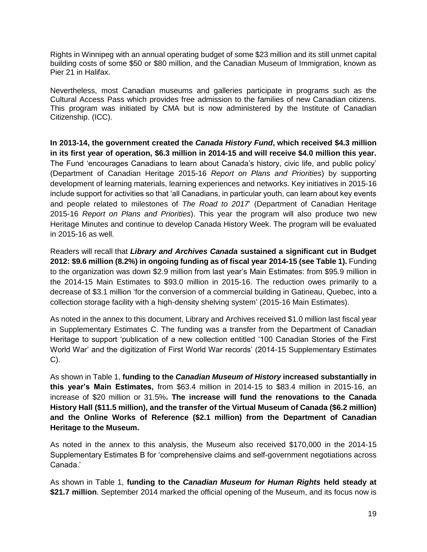Rights in Winnipeg with an annual operating budget of some \$23 million and its still unmet capital building costs of some \$50 or \$80 million, and the Canadian Museum of Immigration, known as Pier 21 in Halifax.

Nevertheless, most Canadian museums and galleries participate in programs such as the Cultural Access Pass which provides free admission to the families of new Canadian citizens. This program was initiated by CMA but is now administered by the Institute of Canadian Citizenship. (ICC).

**In 2013-14, the government created the** *Canada History Fund***, which received \$4.3 million in its first year of operation, \$6.3 million in 2014-15 and will receive \$4.0 million this year.**  The Fund 'encourages Canadians to learn about Canada's history, civic life, and public policy' (Department of Canadian Heritage 2015-16 *Report on Plans and Priorities*) by supporting development of learning materials, learning experiences and networks. Key initiatives in 2015-16 include support for activities so that 'all Canadians, in particular youth, can learn about key events and people related to milestones of *The Road to 2017*' (Department of Canadian Heritage 2015-16 *Report on Plans and Priorities*). This year the program will also produce two new Heritage Minutes and continue to develop Canada History Week. The program will be evaluated in 2015-16 as well.

Readers will recall that *Library and Archives Canada* **sustained a significant cut in Budget 2012: \$9.6 million (8.2%) in ongoing funding as of fiscal year 2014-15 (see Table 1).** Funding to the organization was down \$2.9 million from last year's Main Estimates: from \$95.9 million in the 2014-15 Main Estimates to \$93.0 million in 2015-16. The reduction owes primarily to a decrease of \$3.1 million 'for the conversion of a commercial building in Gatineau, Quebec, into a collection storage facility with a high-density shelving system' (2015-16 Main Estimates).

As noted in the annex to this document, Library and Archives received \$1.0 million last fiscal year in Supplementary Estimates C. The funding was a transfer from the Department of Canadian Heritage to support 'publication of a new collection entitled '100 Canadian Stories of the First World War' and the digitization of First World War records' (2014-15 Supplementary Estimates C).

As shown in Table 1, **funding to the** *Canadian Museum of History* **increased substantially in this year's Main Estimates,** from \$63.4 million in 2014-15 to \$83.4 million in 2015-16, an increase of \$20 million or 31.5%**. The increase will fund the renovations to the Canada History Hall (\$11.5 million), and the transfer of the Virtual Museum of Canada (\$6.2 million) and the Online Works of Reference (\$2.1 million) from the Department of Canadian Heritage to the Museum.** 

As noted in the annex to this analysis, the Museum also received \$170,000 in the 2014-15 Supplementary Estimates B for 'comprehensive claims and self-government negotiations across Canada.'

As shown in Table 1, **funding to the** *Canadian Museum for Human Rights* **held steady at \$21.7 million**. September 2014 marked the official opening of the Museum, and its focus now is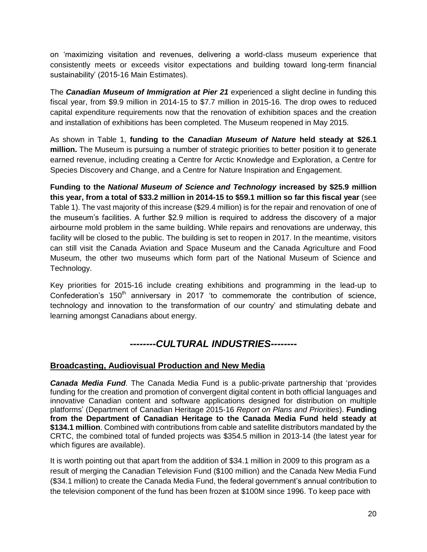on 'maximizing visitation and revenues, delivering a world-class museum experience that consistently meets or exceeds visitor expectations and building toward long-term financial sustainability' (2015-16 Main Estimates).

The *Canadian Museum of Immigration at Pier 21* experienced a slight decline in funding this fiscal year, from \$9.9 million in 2014-15 to \$7.7 million in 2015-16. The drop owes to reduced capital expenditure requirements now that the renovation of exhibition spaces and the creation and installation of exhibitions has been completed. The Museum reopened in May 2015.

As shown in Table 1, **funding to the** *Canadian Museum of Nature* **held steady at \$26.1 million.** The Museum is pursuing a number of strategic priorities to better position it to generate earned revenue, including creating a Centre for Arctic Knowledge and Exploration, a Centre for Species Discovery and Change, and a Centre for Nature Inspiration and Engagement.

**Funding to the** *National Museum of Science and Technology* **increased by \$25.9 million this year, from a total of \$33.2 million in 2014-15 to \$59.1 million so far this fiscal year** (see Table 1). The vast majority of this increase (\$29.4 million) is for the repair and renovation of one of the museum's facilities. A further \$2.9 million is required to address the discovery of a major airbourne mold problem in the same building. While repairs and renovations are underway, this facility will be closed to the public. The building is set to reopen in 2017. In the meantime, visitors can still visit the Canada Aviation and Space Museum and the Canada Agriculture and Food Museum, the other two museums which form part of the National Museum of Science and Technology.

Key priorities for 2015-16 include creating exhibitions and programming in the lead-up to Confederation's  $150<sup>th</sup>$  anniversary in 2017 'to commemorate the contribution of science, technology and innovation to the transformation of our country' and stimulating debate and learning amongst Canadians about energy.

## *--------CULTURAL INDUSTRIES--------*

#### **Broadcasting, Audiovisual Production and New Media**

*Canada Media Fund*. The Canada Media Fund is a public-private partnership that 'provides funding for the creation and promotion of convergent digital content in both official languages and innovative Canadian content and software applications designed for distribution on multiple platforms' (Department of Canadian Heritage 2015-16 *Report on Plans and Priorities*). **Funding from the Department of Canadian Heritage to the Canada Media Fund held steady at \$134.1 million**. Combined with contributions from cable and satellite distributors mandated by the CRTC, the combined total of funded projects was \$354.5 million in 2013-14 (the latest year for which figures are available).

It is worth pointing out that apart from the addition of \$34.1 million in 2009 to this program as a result of merging the Canadian Television Fund (\$100 million) and the Canada New Media Fund (\$34.1 million) to create the Canada Media Fund, the federal government's annual contribution to the television component of the fund has been frozen at \$100M since 1996. To keep pace with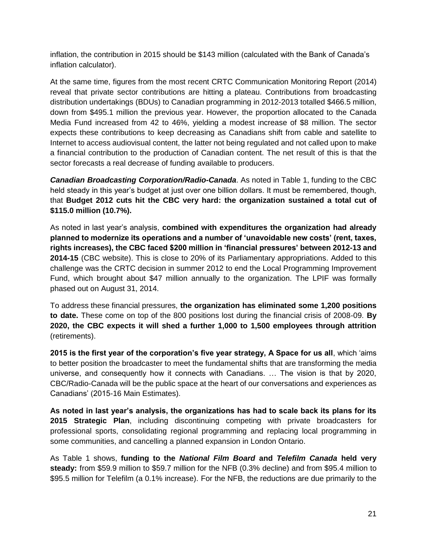inflation, the contribution in 2015 should be \$143 million (calculated with the Bank of Canada's inflation calculator).

At the same time, figures from the most recent CRTC Communication Monitoring Report (2014) reveal that private sector contributions are hitting a plateau. Contributions from broadcasting distribution undertakings (BDUs) to Canadian programming in 2012-2013 totalled \$466.5 million, down from \$495.1 million the previous year. However, the proportion allocated to the Canada Media Fund increased from 42 to 46%, yielding a modest increase of \$8 million. The sector expects these contributions to keep decreasing as Canadians shift from cable and satellite to Internet to access audiovisual content, the latter not being regulated and not called upon to make a financial contribution to the production of Canadian content. The net result of this is that the sector forecasts a real decrease of funding available to producers.

*Canadian Broadcasting Corporation/Radio-Canada*. As noted in Table 1, funding to the CBC held steady in this year's budget at just over one billion dollars. It must be remembered, though, that **Budget 2012 cuts hit the CBC very hard: the organization sustained a total cut of \$115.0 million (10.7%).**

As noted in last year's analysis, **combined with expenditures the organization had already planned to modernize its operations and a number of 'unavoidable new costs' (rent, taxes, rights increases), the CBC faced \$200 million in 'financial pressures' between 2012-13 and 2014-15** (CBC website). This is close to 20% of its Parliamentary appropriations. Added to this challenge was the CRTC decision in summer 2012 to end the Local Programming Improvement Fund, which brought about \$47 million annually to the organization. The LPIF was formally phased out on August 31, 2014.

To address these financial pressures, **the organization has eliminated some 1,200 positions to date.** These come on top of the 800 positions lost during the financial crisis of 2008-09. **By 2020, the CBC expects it will shed a further 1,000 to 1,500 employees through attrition**  (retirements).

**2015 is the first year of the corporation's five year strategy, A Space for us all**, which 'aims to better position the broadcaster to meet the fundamental shifts that are transforming the media universe, and consequently how it connects with Canadians. … The vision is that by 2020, CBC/Radio-Canada will be the public space at the heart of our conversations and experiences as Canadians' (2015-16 Main Estimates).

**As noted in last year's analysis, the organizations has had to scale back its plans for its 2015 Strategic Plan**, including discontinuing competing with private broadcasters for professional sports, consolidating regional programming and replacing local programming in some communities, and cancelling a planned expansion in London Ontario.

As Table 1 shows, **funding to the** *National Film Board* **and** *Telefilm Canada* **held very steady:** from \$59.9 million to \$59.7 million for the NFB (0.3% decline) and from \$95.4 million to \$95.5 million for Telefilm (a 0.1% increase). For the NFB, the reductions are due primarily to the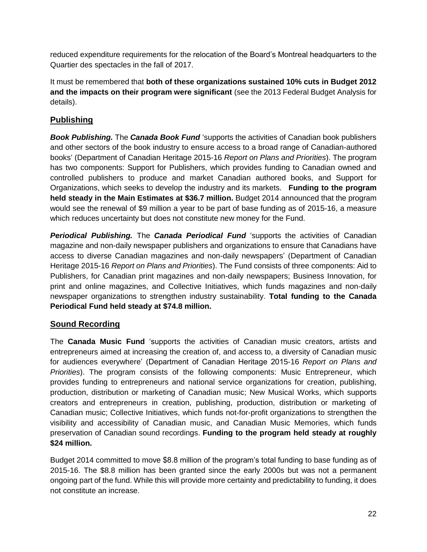reduced expenditure requirements for the relocation of the Board's Montreal headquarters to the Quartier des spectacles in the fall of 2017.

It must be remembered that **both of these organizations sustained 10% cuts in Budget 2012 and the impacts on their program were significant** (see the 2013 Federal Budget Analysis for details).

### **Publishing**

*Book Publishing.* The *Canada Book Fund* 'supports the activities of Canadian book publishers and other sectors of the book industry to ensure access to a broad range of Canadian-authored books' (Department of Canadian Heritage 2015-16 *Report on Plans and Priorities*). The program has two components: Support for Publishers, which provides funding to Canadian owned and controlled publishers to produce and market Canadian authored books, and Support for Organizations, which seeks to develop the industry and its markets. **Funding to the program held steady in the Main Estimates at \$36.7 million.** Budget 2014 announced that the program would see the renewal of \$9 million a year to be part of base funding as of 2015-16, a measure which reduces uncertainty but does not constitute new money for the Fund.

*Periodical Publishing.* The *Canada Periodical Fund* 'supports the activities of Canadian magazine and non-daily newspaper publishers and organizations to ensure that Canadians have access to diverse Canadian magazines and non-daily newspapers' (Department of Canadian Heritage 2015-16 *Report on Plans and Priorities*). The Fund consists of three components: Aid to Publishers, for Canadian print magazines and non-daily newspapers; Business Innovation, for print and online magazines, and Collective Initiatives, which funds magazines and non-daily newspaper organizations to strengthen industry sustainability. **Total funding to the Canada Periodical Fund held steady at \$74.8 million.** 

#### **Sound Recording**

The **Canada Music Fund** 'supports the activities of Canadian music creators, artists and entrepreneurs aimed at increasing the creation of, and access to, a diversity of Canadian music for audiences everywhere' (Department of Canadian Heritage 2015-16 *Report on Plans and Priorities*). The program consists of the following components: Music Entrepreneur, which provides funding to entrepreneurs and national service organizations for creation, publishing, production, distribution or marketing of Canadian music; New Musical Works, which supports creators and entrepreneurs in creation, publishing, production, distribution or marketing of Canadian music; Collective Initiatives, which funds not-for-profit organizations to strengthen the visibility and accessibility of Canadian music, and Canadian Music Memories, which funds preservation of Canadian sound recordings. **Funding to the program held steady at roughly \$24 million.**

Budget 2014 committed to move \$8.8 million of the program's total funding to base funding as of 2015-16. The \$8.8 million has been granted since the early 2000s but was not a permanent ongoing part of the fund. While this will provide more certainty and predictability to funding, it does not constitute an increase.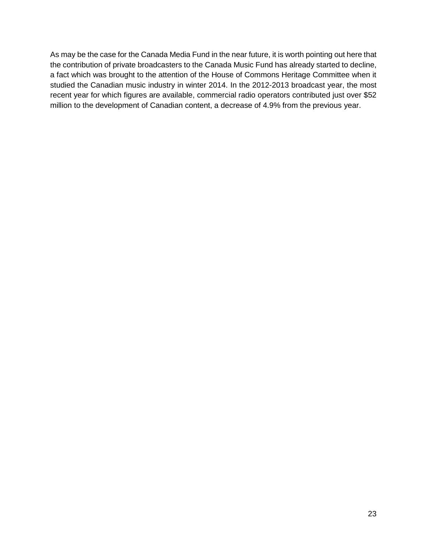As may be the case for the Canada Media Fund in the near future, it is worth pointing out here that the contribution of private broadcasters to the Canada Music Fund has already started to decline, a fact which was brought to the attention of the House of Commons Heritage Committee when it studied the Canadian music industry in winter 2014. In the 2012-2013 broadcast year, the most recent year for which figures are available, commercial radio operators contributed just over \$52 million to the development of Canadian content, a decrease of 4.9% from the previous year.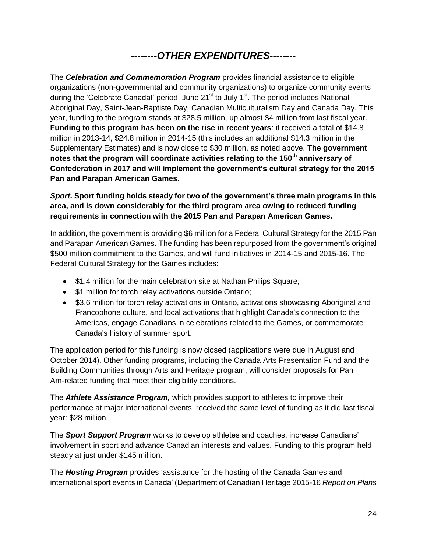## *--------OTHER EXPENDITURES--------*

The *Celebration and Commemoration Program* provides financial assistance to eligible organizations (non-governmental and community organizations) to organize community events during the 'Celebrate Canada!' period, June 21<sup>st</sup> to July 1<sup>st</sup>. The period includes National Aboriginal Day, Saint-Jean-Baptiste Day, Canadian Multiculturalism Day and Canada Day. This year, funding to the program stands at \$28.5 million, up almost \$4 million from last fiscal year. **Funding to this program has been on the rise in recent years**: it received a total of \$14.8 million in 2013-14, \$24.8 million in 2014-15 (this includes an additional \$14.3 million in the Supplementary Estimates) and is now close to \$30 million, as noted above. **The government notes that the program will coordinate activities relating to the 150th anniversary of Confederation in 2017 and will implement the government's cultural strategy for the 2015 Pan and Parapan American Games.**

*Sport.* **Sport funding holds steady for two of the government's three main programs in this area, and is down considerably for the third program area owing to reduced funding requirements in connection with the 2015 Pan and Parapan American Games.** 

In addition, the government is providing \$6 million for a Federal Cultural Strategy for the 2015 Pan and Parapan American Games. The funding has been repurposed from the government's original \$500 million commitment to the Games, and will fund initiatives in 2014-15 and 2015-16. The Federal Cultural Strategy for the Games includes:

- \$1.4 million for the main celebration site at Nathan Philips Square;
- \$1 million for torch relay activations outside Ontario;
- \$3.6 million for torch relay activations in Ontario, activations showcasing Aboriginal and Francophone culture, and local activations that highlight Canada's connection to the Americas, engage Canadians in celebrations related to the Games, or commemorate Canada's history of summer sport.

The application period for this funding is now closed (applications were due in August and October 2014). Other funding programs, including the Canada Arts Presentation Fund and the Building Communities through Arts and Heritage program, will consider proposals for Pan Am-related funding that meet their eligibility conditions.

The *Athlete Assistance Program,* which provides support to athletes to improve their performance at major international events, received the same level of funding as it did last fiscal year: \$28 million.

The *Sport Support Program* works to develop athletes and coaches, increase Canadians' involvement in sport and advance Canadian interests and values. Funding to this program held steady at just under \$145 million.

The *Hosting Program* provides 'assistance for the hosting of the Canada Games and international sport events in Canada' (Department of Canadian Heritage 2015-16 *Report on Plans*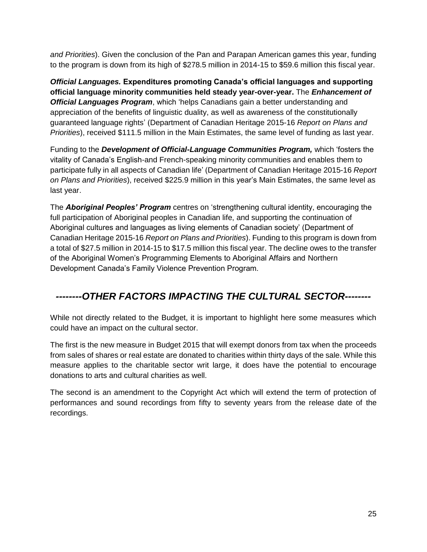*and Priorities*). Given the conclusion of the Pan and Parapan American games this year, funding to the program is down from its high of \$278.5 million in 2014-15 to \$59.6 million this fiscal year.

*Official Languages.* **Expenditures promoting Canada's official languages and supporting official language minority communities held steady year-over-year.** The *Enhancement of Official Languages Program*, which 'helps Canadians gain a better understanding and appreciation of the benefits of linguistic duality, as well as awareness of the constitutionally guaranteed language rights' (Department of Canadian Heritage 2015-16 *Report on Plans and Priorities*), received \$111.5 million in the Main Estimates, the same level of funding as last year.

Funding to the *Development of Official-Language Communities Program,* which 'fosters the vitality of Canada's English-and French-speaking minority communities and enables them to participate fully in all aspects of Canadian life' (Department of Canadian Heritage 2015-16 *Report on Plans and Priorities*), received \$225.9 million in this year's Main Estimates, the same level as last year.

The *Aboriginal Peoples' Program* centres on 'strengthening cultural identity, encouraging the full participation of Aboriginal peoples in Canadian life, and supporting the continuation of Aboriginal cultures and languages as living elements of Canadian society' (Department of Canadian Heritage 2015-16 *Report on Plans and Priorities*). Funding to this program is down from a total of \$27.5 million in 2014-15 to \$17.5 million this fiscal year. The decline owes to the transfer of the Aboriginal Women's Programming Elements to Aboriginal Affairs and Northern Development Canada's Family Violence Prevention Program.

## *--------OTHER FACTORS IMPACTING THE CULTURAL SECTOR--------*

While not directly related to the Budget, it is important to highlight here some measures which could have an impact on the cultural sector.

The first is the new measure in Budget 2015 that will exempt donors from tax when the proceeds from sales of shares or real estate are donated to charities within thirty days of the sale. While this measure applies to the charitable sector writ large, it does have the potential to encourage donations to arts and cultural charities as well.

The second is an amendment to the Copyright Act which will extend the term of protection of performances and sound recordings from fifty to seventy years from the release date of the recordings.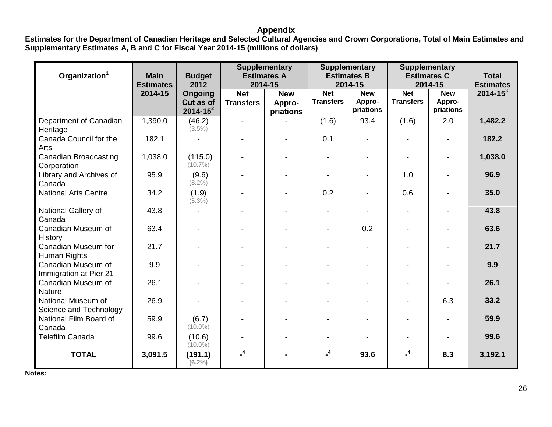#### **Appendix**

**Estimates for the Department of Canadian Heritage and Selected Cultural Agencies and Crown Corporations, Total of Main Estimates and Supplementary Estimates A, B and C for Fiscal Year 2014-15 (millions of dollars)**

| Organization <sup>1</sup>                    | <b>Main</b><br><b>Estimates</b> | <b>Budget</b><br>2012                 | <b>Supplementary</b><br><b>Estimates A</b><br>2014-15 |                                   | <b>Supplementary</b><br><b>Estimates B</b><br>2014-15 |                                   | <b>Supplementary</b><br><b>Estimates C</b><br>2014-15 | <b>Total</b><br><b>Estimates</b>  |               |
|----------------------------------------------|---------------------------------|---------------------------------------|-------------------------------------------------------|-----------------------------------|-------------------------------------------------------|-----------------------------------|-------------------------------------------------------|-----------------------------------|---------------|
|                                              | 2014-15                         | Ongoing<br>Cut as of<br>$2014 - 15^2$ | <b>Net</b><br><b>Transfers</b>                        | <b>New</b><br>Appro-<br>priations | <b>Net</b><br><b>Transfers</b>                        | <b>New</b><br>Appro-<br>priations | <b>Net</b><br><b>Transfers</b>                        | <b>New</b><br>Appro-<br>priations | $2014 - 15^3$ |
| Department of Canadian<br>Heritage           | 1,390.0                         | (46.2)<br>$(3.5\%)$                   | $\blacksquare$                                        |                                   | (1.6)                                                 | 93.4                              | (1.6)                                                 | 2.0                               | 1,482.2       |
| Canada Council for the<br>Arts               | 182.1                           |                                       | $\blacksquare$                                        |                                   | 0.1                                                   | $\blacksquare$                    |                                                       |                                   | 182.2         |
| <b>Canadian Broadcasting</b><br>Corporation  | 1,038.0                         | (115.0)<br>$(10.7\%)$                 | $\blacksquare$                                        | $\blacksquare$                    | $\blacksquare$                                        | $\blacksquare$                    | $\blacksquare$                                        | $\blacksquare$                    | 1,038.0       |
| Library and Archives of<br>Canada            | 95.9                            | (9.6)<br>$(8.2\%)$                    | $\blacksquare$                                        | $\blacksquare$                    | $\overline{\phantom{a}}$                              | $\blacksquare$                    | 1.0                                                   | $\blacksquare$                    | 96.9          |
| <b>National Arts Centre</b>                  | 34.2                            | (1.9)<br>$(5.3\%)$                    | $\blacksquare$                                        | $\blacksquare$                    | 0.2                                                   | $\blacksquare$                    | 0.6                                                   |                                   | 35.0          |
| National Gallery of<br>Canada                | 43.8                            | $\blacksquare$                        | $\blacksquare$                                        | $\blacksquare$                    | $\blacksquare$                                        | $\blacksquare$                    | $\blacksquare$                                        | $\blacksquare$                    | 43.8          |
| Canadian Museum of<br>History                | 63.4                            | $\blacksquare$                        | $\blacksquare$                                        | $\blacksquare$                    | $\blacksquare$                                        | $\overline{0.2}$                  | $\blacksquare$                                        | $\blacksquare$                    | 63.6          |
| Canadian Museum for<br>Human Rights          | 21.7                            | $\blacksquare$                        | $\blacksquare$                                        | $\blacksquare$                    | $\overline{\phantom{a}}$                              | $\blacksquare$                    | $\overline{\phantom{0}}$                              | $\blacksquare$                    | 21.7          |
| Canadian Museum of<br>Immigration at Pier 21 | 9.9                             | $\blacksquare$                        | $\blacksquare$                                        | $\blacksquare$                    | $\blacksquare$                                        | $\blacksquare$                    | $\overline{a}$                                        | $\blacksquare$                    | 9.9           |
| Canadian Museum of<br><b>Nature</b>          | 26.1                            | $\blacksquare$                        | $\blacksquare$                                        | $\blacksquare$                    | $\blacksquare$                                        |                                   |                                                       |                                   | 26.1          |
| National Museum of<br>Science and Technology | 26.9                            | $\blacksquare$                        | $\blacksquare$                                        | $\blacksquare$                    | $\blacksquare$                                        | $\sim$                            |                                                       | 6.3                               | 33.2          |
| National Film Board of<br>Canada             | 59.9                            | (6.7)<br>$(10.0\%)$                   | $\blacksquare$                                        | $\overline{a}$                    | $\blacksquare$                                        | $\sim$                            | $\blacksquare$                                        | $\blacksquare$                    | 59.9          |
| <b>Telefilm Canada</b>                       | 99.6                            | (10.6)<br>$(10.0\%)$                  | $\blacksquare$                                        |                                   | $\blacksquare$                                        |                                   |                                                       |                                   | 99.6          |
| <b>TOTAL</b>                                 | 3,091.5                         | (191.1)<br>$(6.2\%)$                  | $^{4}$                                                | $\blacksquare$                    | $\mathbf{I}^4$                                        | 93.6                              | $\mathbf{I}^4$                                        | 8.3                               | 3,192.1       |

**Notes:**